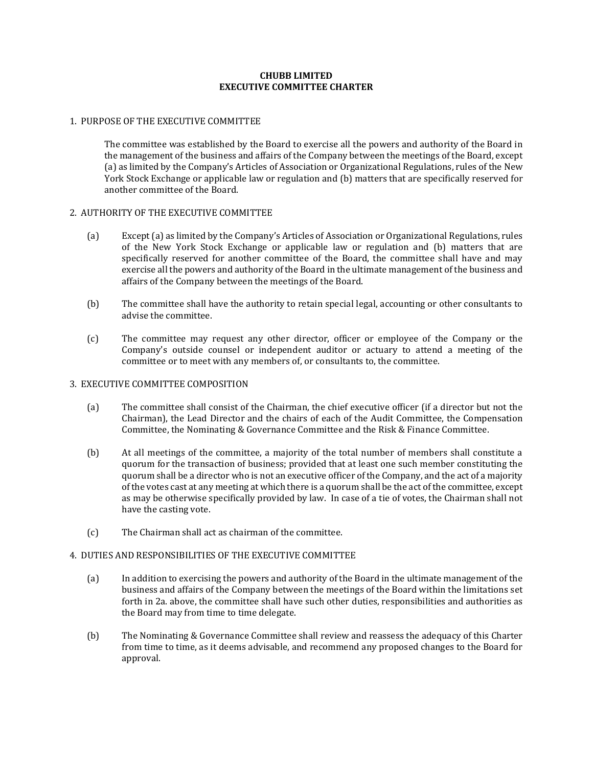## **CHUBB LIMITED EXECUTIVE COMMITTEE CHARTER**

## 1. PURPOSE OF THE EXECUTIVE COMMITTEE

The committee was established by the Board to exercise all the powers and authority of the Board in the management of the business and affairs of the Company between the meetings of the Board, except (a) as limited by the Company's Articles of Association or Organizational Regulations, rules of the New York Stock Exchange or applicable law or regulation and (b) matters that are specifically reserved for another committee of the Board.

## 2. AUTHORITY OF THE EXECUTIVE COMMITTEE

- (a) Except (a) as limited by the Company's Articles of Association or Organizational Regulations, rules of the New York Stock Exchange or applicable law or regulation and (b) matters that are specifically reserved for another committee of the Board, the committee shall have and may exercise all the powers and authority of the Board in the ultimate management of the business and affairs of the Company between the meetings of the Board.
- (b) The committee shall have the authority to retain special legal, accounting or other consultants to advise the committee.
- (c) The committee may request any other director, officer or employee of the Company or the Company's outside counsel or independent auditor or actuary to attend a meeting of the committee or to meet with any members of, or consultants to, the committee.

# 3. EXECUTIVE COMMITTEE COMPOSITION

- (a) The committee shall consist of the Chairman, the chief executive officer (if a director but not the Chairman), the Lead Director and the chairs of each of the Audit Committee, the Compensation Committee, the Nominating & Governance Committee and the Risk & Finance Committee.
- (b) At all meetings of the committee, a majority of the total number of members shall constitute a quorum for the transaction of business; provided that at least one such member constituting the quorum shall be a director who is not an executive officer of the Company, and the act of a majority of the votes cast at any meeting at which there is a quorum shall be the act of the committee, except as may be otherwise specifically provided by law. In case of a tie of votes, the Chairman shall not have the casting vote.
- (c) The Chairman shall act as chairman of the committee.

#### 4. DUTIES AND RESPONSIBILITIES OF THE EXECUTIVE COMMITTEE

- (a) In addition to exercising the powers and authority of the Board in the ultimate management of the business and affairs of the Company between the meetings of the Board within the limitations set forth in 2a. above, the committee shall have such other duties, responsibilities and authorities as the Board may from time to time delegate.
- (b) The Nominating & Governance Committee shall review and reassess the adequacy of this Charter from time to time, as it deems advisable, and recommend any proposed changes to the Board for approval.